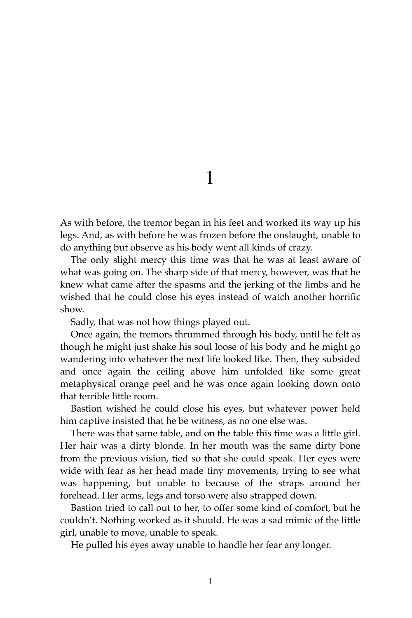1

As with before, the tremor began in his feet and worked its way up his legs. And, as with before he was frozen before the onslaught, unable to do anything but observe as his body went all kinds of crazy.

The only slight mercy this time was that he was at least aware of what was going on. The sharp side of that mercy, however, was that he knew what came after the spasms and the jerking of the limbs and he wished that he could close his eyes instead of watch another horrific show.

Sadly, that was not how things played out.

Once again, the tremors thrummed through his body, until he felt as though he might just shake his soul loose of his body and he might go wandering into whatever the next life looked like. Then, they subsided and once again the ceiling above him unfolded like some great metaphysical orange peel and he was once again looking down onto that terrible little room.

Bastion wished he could close his eyes, but whatever power held him captive insisted that he be witness, as no one else was.

There was that same table, and on the table this time was a little girl. Her hair was a dirty blonde. In her mouth was the same dirty bone from the previous vision, tied so that she could speak. Her eyes were wide with fear as her head made tiny movements, trying to see what was happening, but unable to because of the straps around her forehead. Her arms, legs and torso were also strapped down.

Bastion tried to call out to her, to offer some kind of comfort, but he couldn't. Nothing worked as it should. He was a sad mimic of the little girl, unable to move, unable to speak.

He pulled his eyes away unable to handle her fear any longer.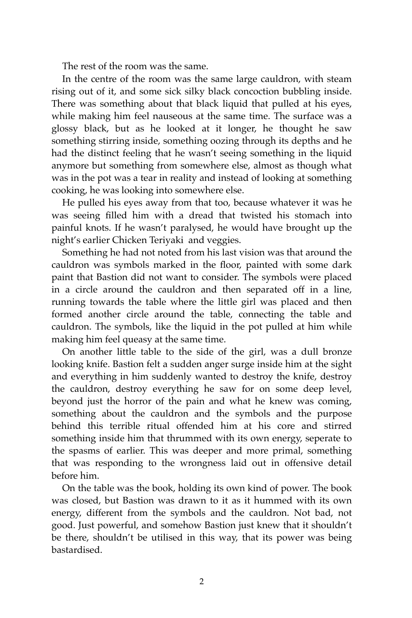The rest of the room was the same.

In the centre of the room was the same large cauldron, with steam rising out of it, and some sick silky black concoction bubbling inside. There was something about that black liquid that pulled at his eyes, while making him feel nauseous at the same time. The surface was a glossy black, but as he looked at it longer, he thought he saw something stirring inside, something oozing through its depths and he had the distinct feeling that he wasn't seeing something in the liquid anymore but something from somewhere else, almost as though what was in the pot was a tear in reality and instead of looking at something cooking, he was looking into somewhere else.

He pulled his eyes away from that too, because whatever it was he was seeing filled him with a dread that twisted his stomach into painful knots. If he wasn't paralysed, he would have brought up the night's earlier Chicken Teriyaki and veggies.

Something he had not noted from his last vision was that around the cauldron was symbols marked in the floor, painted with some dark paint that Bastion did not want to consider. The symbols were placed in a circle around the cauldron and then separated off in a line, running towards the table where the little girl was placed and then formed another circle around the table, connecting the table and cauldron. The symbols, like the liquid in the pot pulled at him while making him feel queasy at the same time.

On another little table to the side of the girl, was a dull bronze looking knife. Bastion felt a sudden anger surge inside him at the sight and everything in him suddenly wanted to destroy the knife, destroy the cauldron, destroy everything he saw for on some deep level, beyond just the horror of the pain and what he knew was coming, something about the cauldron and the symbols and the purpose behind this terrible ritual offended him at his core and stirred something inside him that thrummed with its own energy, seperate to the spasms of earlier. This was deeper and more primal, something that was responding to the wrongness laid out in offensive detail before him.

On the table was the book, holding its own kind of power. The book was closed, but Bastion was drawn to it as it hummed with its own energy, different from the symbols and the cauldron. Not bad, not good. Just powerful, and somehow Bastion just knew that it shouldn't be there, shouldn't be utilised in this way, that its power was being bastardised.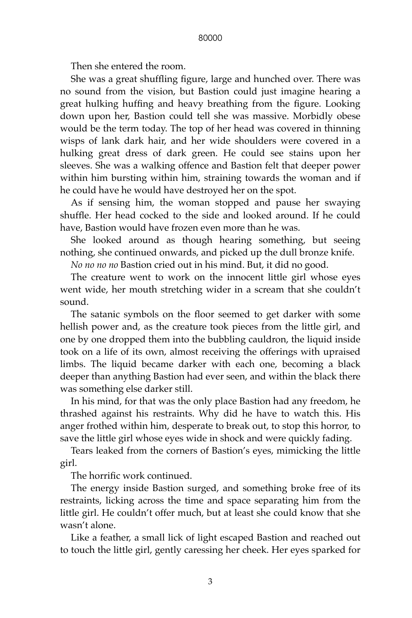Then she entered the room.

She was a great shuffling figure, large and hunched over. There was no sound from the vision, but Bastion could just imagine hearing a great hulking huffing and heavy breathing from the figure. Looking down upon her, Bastion could tell she was massive. Morbidly obese would be the term today. The top of her head was covered in thinning wisps of lank dark hair, and her wide shoulders were covered in a hulking great dress of dark green. He could see stains upon her sleeves. She was a walking offence and Bastion felt that deeper power within him bursting within him, straining towards the woman and if he could have he would have destroyed her on the spot.

As if sensing him, the woman stopped and pause her swaying shuffle. Her head cocked to the side and looked around. If he could have, Bastion would have frozen even more than he was.

She looked around as though hearing something, but seeing nothing, she continued onwards, and picked up the dull bronze knife.

*No no no no* Bastion cried out in his mind. But, it did no good.

The creature went to work on the innocent little girl whose eyes went wide, her mouth stretching wider in a scream that she couldn't sound.

The satanic symbols on the floor seemed to get darker with some hellish power and, as the creature took pieces from the little girl, and one by one dropped them into the bubbling cauldron, the liquid inside took on a life of its own, almost receiving the offerings with upraised limbs. The liquid became darker with each one, becoming a black deeper than anything Bastion had ever seen, and within the black there was something else darker still.

In his mind, for that was the only place Bastion had any freedom, he thrashed against his restraints. Why did he have to watch this. His anger frothed within him, desperate to break out, to stop this horror, to save the little girl whose eyes wide in shock and were quickly fading.

Tears leaked from the corners of Bastion's eyes, mimicking the little girl.

The horrific work continued.

The energy inside Bastion surged, and something broke free of its restraints, licking across the time and space separating him from the little girl. He couldn't offer much, but at least she could know that she wasn't alone.

Like a feather, a small lick of light escaped Bastion and reached out to touch the little girl, gently caressing her cheek. Her eyes sparked for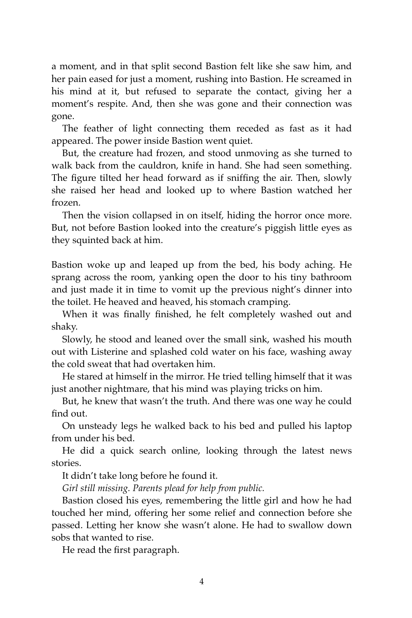a moment, and in that split second Bastion felt like she saw him, and her pain eased for just a moment, rushing into Bastion. He screamed in his mind at it, but refused to separate the contact, giving her a moment's respite. And, then she was gone and their connection was gone.

The feather of light connecting them receded as fast as it had appeared. The power inside Bastion went quiet.

But, the creature had frozen, and stood unmoving as she turned to walk back from the cauldron, knife in hand. She had seen something. The figure tilted her head forward as if sniffing the air. Then, slowly she raised her head and looked up to where Bastion watched her frozen.

Then the vision collapsed in on itself, hiding the horror once more. But, not before Bastion looked into the creature's piggish little eyes as they squinted back at him.

Bastion woke up and leaped up from the bed, his body aching. He sprang across the room, yanking open the door to his tiny bathroom and just made it in time to vomit up the previous night's dinner into the toilet. He heaved and heaved, his stomach cramping.

When it was finally finished, he felt completely washed out and shaky.

Slowly, he stood and leaned over the small sink, washed his mouth out with Listerine and splashed cold water on his face, washing away the cold sweat that had overtaken him.

He stared at himself in the mirror. He tried telling himself that it was just another nightmare, that his mind was playing tricks on him.

But, he knew that wasn't the truth. And there was one way he could find out.

On unsteady legs he walked back to his bed and pulled his laptop from under his bed.

He did a quick search online, looking through the latest news stories.

It didn't take long before he found it.

*Girl still missing. Parents plead for help from public.*

Bastion closed his eyes, remembering the little girl and how he had touched her mind, offering her some relief and connection before she passed. Letting her know she wasn't alone. He had to swallow down sobs that wanted to rise.

He read the first paragraph.